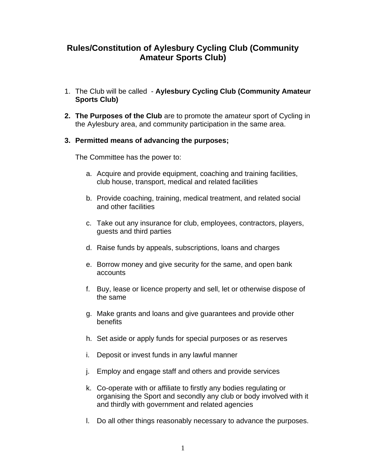# **Rules/Constitution of Aylesbury Cycling Club (Community Amateur Sports Club)**

- 1. The Club will be called **Aylesbury Cycling Club (Community Amateur Sports Club)**
- **2. The Purposes of the Club** are to promote the amateur sport of Cycling in the Aylesbury area, and community participation in the same area.

# **3. Permitted means of advancing the purposes;**

The Committee has the power to:

- a. Acquire and provide equipment, coaching and training facilities, club house, transport, medical and related facilities
- b. Provide coaching, training, medical treatment, and related social and other facilities
- c. Take out any insurance for club, employees, contractors, players, guests and third parties
- d. Raise funds by appeals, subscriptions, loans and charges
- e. Borrow money and give security for the same, and open bank accounts
- f. Buy, lease or licence property and sell, let or otherwise dispose of the same
- g. Make grants and loans and give guarantees and provide other **benefits**
- h. Set aside or apply funds for special purposes or as reserves
- i. Deposit or invest funds in any lawful manner
- j. Employ and engage staff and others and provide services
- k. Co-operate with or affiliate to firstly any bodies regulating or organising the Sport and secondly any club or body involved with it and thirdly with government and related agencies
- l. Do all other things reasonably necessary to advance the purposes.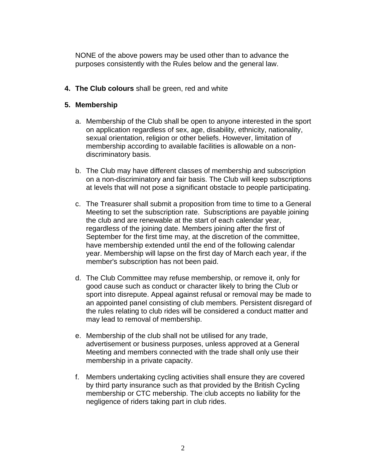NONE of the above powers may be used other than to advance the purposes consistently with the Rules below and the general law.

**4. The Club colours** shall be green, red and white

# **5. Membership**

- a. Membership of the Club shall be open to anyone interested in the sport on application regardless of sex, age, disability, ethnicity, nationality, sexual orientation, religion or other beliefs. However, limitation of membership according to available facilities is allowable on a nondiscriminatory basis.
- b. The Club may have different classes of membership and subscription on a non-discriminatory and fair basis. The Club will keep subscriptions at levels that will not pose a significant obstacle to people participating.
- c. The Treasurer shall submit a proposition from time to time to a General Meeting to set the subscription rate. Subscriptions are payable joining the club and are renewable at the start of each calendar year, regardless of the joining date. Members joining after the first of September for the first time may, at the discretion of the committee, have membership extended until the end of the following calendar year. Membership will lapse on the first day of March each year, if the member's subscription has not been paid.
- d. The Club Committee may refuse membership, or remove it, only for good cause such as conduct or character likely to bring the Club or sport into disrepute. Appeal against refusal or removal may be made to an appointed panel consisting of club members. Persistent disregard of the rules relating to club rides will be considered a conduct matter and may lead to removal of membership.
- e. Membership of the club shall not be utilised for any trade, advertisement or business purposes, unless approved at a General Meeting and members connected with the trade shall only use their membership in a private capacity.
- f. Members undertaking cycling activities shall ensure they are covered by third party insurance such as that provided by the British Cycling membership or CTC mebership. The club accepts no liability for the negligence of riders taking part in club rides.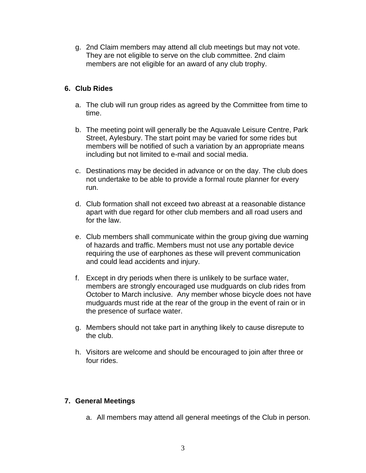g. 2nd Claim members may attend all club meetings but may not vote. They are not eligible to serve on the club committee. 2nd claim members are not eligible for an award of any club trophy.

# **6. Club Rides**

- a. The club will run group rides as agreed by the Committee from time to time.
- b. The meeting point will generally be the Aquavale Leisure Centre, Park Street, Aylesbury. The start point may be varied for some rides but members will be notified of such a variation by an appropriate means including but not limited to e-mail and social media.
- c. Destinations may be decided in advance or on the day. The club does not undertake to be able to provide a formal route planner for every run.
- d. Club formation shall not exceed two abreast at a reasonable distance apart with due regard for other club members and all road users and for the law.
- e. Club members shall communicate within the group giving due warning of hazards and traffic. Members must not use any portable device requiring the use of earphones as these will prevent communication and could lead accidents and injury.
- f. Except in dry periods when there is unlikely to be surface water, members are strongly encouraged use mudguards on club rides from October to March inclusive. Any member whose bicycle does not have mudguards must ride at the rear of the group in the event of rain or in the presence of surface water.
- g. Members should not take part in anything likely to cause disrepute to the club.
- h. Visitors are welcome and should be encouraged to join after three or four rides.

# **7. General Meetings**

a. All members may attend all general meetings of the Club in person.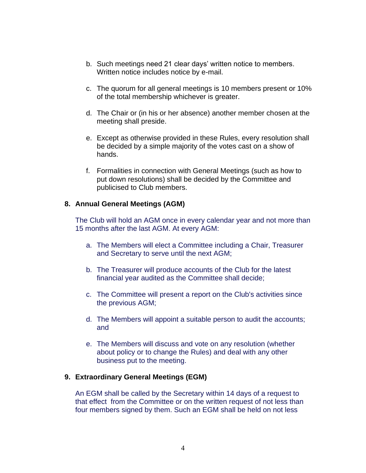- b. Such meetings need 21 clear days' written notice to members. Written notice includes notice by e-mail.
- c. The quorum for all general meetings is 10 members present or 10% of the total membership whichever is greater.
- d. The Chair or (in his or her absence) another member chosen at the meeting shall preside.
- e. Except as otherwise provided in these Rules, every resolution shall be decided by a simple majority of the votes cast on a show of hands.
- f. Formalities in connection with General Meetings (such as how to put down resolutions) shall be decided by the Committee and publicised to Club members.

## **8. Annual General Meetings (AGM)**

The Club will hold an AGM once in every calendar year and not more than 15 months after the last AGM. At every AGM:

- a. The Members will elect a Committee including a Chair, Treasurer and Secretary to serve until the next AGM;
- b. The Treasurer will produce accounts of the Club for the latest financial year audited as the Committee shall decide;
- c. The Committee will present a report on the Club's activities since the previous AGM;
- d. The Members will appoint a suitable person to audit the accounts; and
- e. The Members will discuss and vote on any resolution (whether about policy or to change the Rules) and deal with any other business put to the meeting.

#### **9. Extraordinary General Meetings (EGM)**

An EGM shall be called by the Secretary within 14 days of a request to that effect from the Committee or on the written request of not less than four members signed by them. Such an EGM shall be held on not less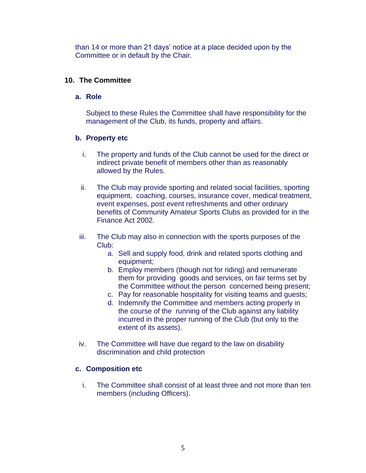than 14 or more than 21 days' notice at a place decided upon by the Committee or in default by the Chair.

## **10. The Committee**

## **a. Role**

Subject to these Rules the Committee shall have responsibility for the management of the Club, its funds, property and affairs.

# **b. Property etc**

- i. The property and funds of the Club cannot be used for the direct or indirect private benefit of members other than as reasonably allowed by the Rules.
- ii. The Club may provide sporting and related social facilities, sporting equipment, coaching, courses, insurance cover, medical treatment, event expenses, post event refreshments and other ordinary benefits of Community Amateur Sports Clubs as provided for in the Finance Act 2002.
- iii. The Club may also in connection with the sports purposes of the Club:
	- a. Sell and supply food, drink and related sports clothing and equipment;
	- b. Employ members (though not for riding) and remunerate them for providing goods and services, on fair terms set by the Committee without the person concerned being present;
	- c. Pay for reasonable hospitality for visiting teams and guests;
	- d. Indemnify the Committee and members acting properly in the course of the running of the Club against any liability incurred in the proper running of the Club (but only to the extent of its assets).
- iv. The Committee will have due regard to the law on disability discrimination and child protection

## **c. Composition etc**

i. The Committee shall consist of at least three and not more than ten members (including Officers).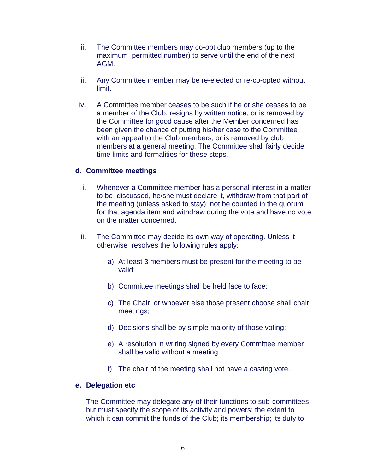- ii. The Committee members may co-opt club members (up to the maximum permitted number) to serve until the end of the next AGM.
- iii. Any Committee member may be re-elected or re-co-opted without **limit**
- iv. A Committee member ceases to be such if he or she ceases to be a member of the Club, resigns by written notice, or is removed by the Committee for good cause after the Member concerned has been given the chance of putting his/her case to the Committee with an appeal to the Club members, or is removed by club members at a general meeting. The Committee shall fairly decide time limits and formalities for these steps.

#### **d. Committee meetings**

- i. Whenever a Committee member has a personal interest in a matter to be discussed, he/she must declare it, withdraw from that part of the meeting (unless asked to stay), not be counted in the quorum for that agenda item and withdraw during the vote and have no vote on the matter concerned.
- ii. The Committee may decide its own way of operating. Unless it otherwise resolves the following rules apply:
	- a) At least 3 members must be present for the meeting to be valid;
	- b) Committee meetings shall be held face to face;
	- c) The Chair, or whoever else those present choose shall chair meetings;
	- d) Decisions shall be by simple majority of those voting;
	- e) A resolution in writing signed by every Committee member shall be valid without a meeting
	- f) The chair of the meeting shall not have a casting vote.

#### **e. Delegation etc**

The Committee may delegate any of their functions to sub-committees but must specify the scope of its activity and powers; the extent to which it can commit the funds of the Club; its membership; its duty to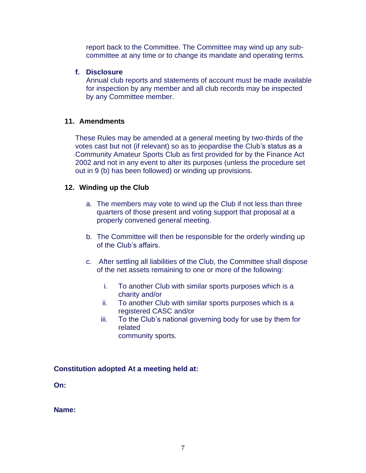report back to the Committee. The Committee may wind up any subcommittee at any time or to change its mandate and operating terms.

#### **f. Disclosure**

Annual club reports and statements of account must be made available for inspection by any member and all club records may be inspected by any Committee member.

## **11. Amendments**

These Rules may be amended at a general meeting by two-thirds of the votes cast but not (if relevant) so as to jeopardise the Club's status as a Community Amateur Sports Club as first provided for by the Finance Act 2002 and not in any event to alter its purposes (unless the procedure set out in 9 (b) has been followed) or winding up provisions.

# **12. Winding up the Club**

- a. The members may vote to wind up the Club if not less than three quarters of those present and voting support that proposal at a properly convened general meeting.
- b. The Committee will then be responsible for the orderly winding up of the Club's affairs.
- c. After settling all liabilities of the Club, the Committee shall dispose of the net assets remaining to one or more of the following:
	- i. To another Club with similar sports purposes which is a charity and/or
	- ii. To another Club with similar sports purposes which is a registered CASC and/or
	- iii. To the Club's national governing body for use by them for related community sports.

## **Constitution adopted At a meeting held at:**

**On:**

**Name:**